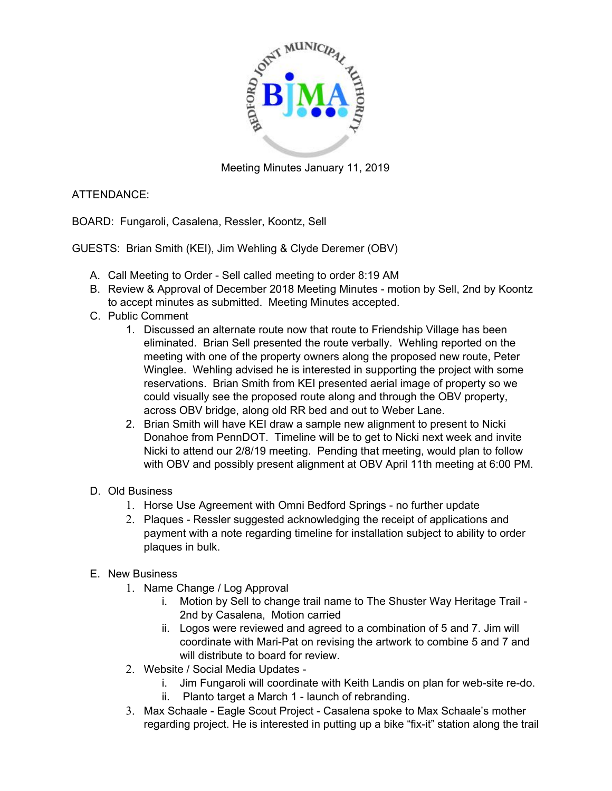

Meeting Minutes January 11, 2019

## ATTENDANCE:

BOARD: Fungaroli, Casalena, Ressler, Koontz, Sell

GUESTS: Brian Smith (KEI), Jim Wehling & Clyde Deremer (OBV)

- A. Call Meeting to Order Sell called meeting to order 8:19 AM
- B. Review & Approval of December 2018 Meeting Minutes motion by Sell, 2nd by Koontz to accept minutes as submitted. Meeting Minutes accepted.
- C. Public Comment
	- 1. Discussed an alternate route now that route to Friendship Village has been eliminated. Brian Sell presented the route verbally. Wehling reported on the meeting with one of the property owners along the proposed new route, Peter Winglee. Wehling advised he is interested in supporting the project with some reservations. Brian Smith from KEI presented aerial image of property so we could visually see the proposed route along and through the OBV property, across OBV bridge, along old RR bed and out to Weber Lane.
	- 2. Brian Smith will have KEI draw a sample new alignment to present to Nicki Donahoe from PennDOT. Timeline will be to get to Nicki next week and invite Nicki to attend our 2/8/19 meeting. Pending that meeting, would plan to follow with OBV and possibly present alignment at OBV April 11th meeting at 6:00 PM.
- D. Old Business
	- 1. Horse Use Agreement with Omni Bedford Springs no further update
	- 2. Plaques Ressler suggested acknowledging the receipt of applications and payment with a note regarding timeline for installation subject to ability to order plaques in bulk.
- E. New Business
	- 1. Name Change / Log Approval
		- i. Motion by Sell to change trail name to The Shuster Way Heritage Trail 2nd by Casalena, Motion carried
		- ii. Logos were reviewed and agreed to a combination of 5 and 7. Jim will coordinate with Mari-Pat on revising the artwork to combine 5 and 7 and will distribute to board for review.
	- 2. Website / Social Media Updates
		- i. Jim Fungaroli will coordinate with Keith Landis on plan for web-site re-do.
		- ii. Planto target a March 1 launch of rebranding.
	- 3. Max Schaale Eagle Scout Project Casalena spoke to Max Schaale's mother regarding project. He is interested in putting up a bike "fix-it" station along the trail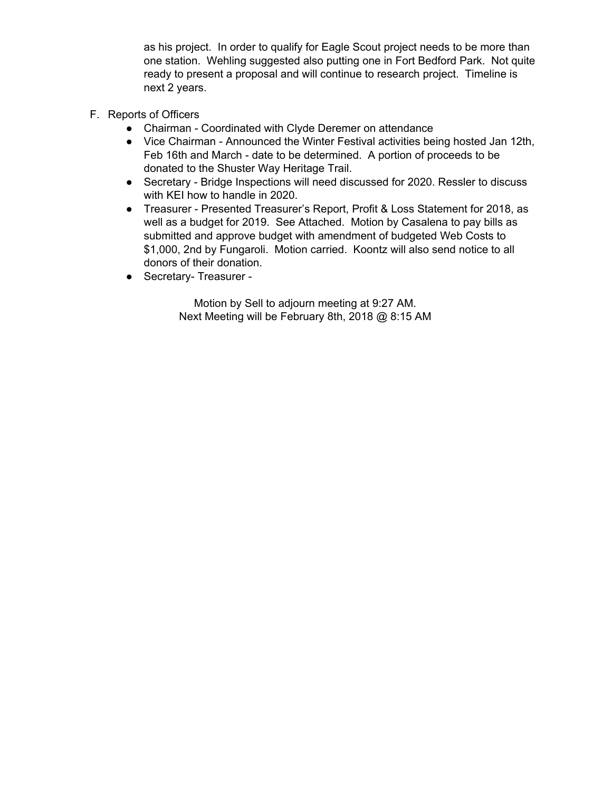as his project. In order to qualify for Eagle Scout project needs to be more than one station. Wehling suggested also putting one in Fort Bedford Park. Not quite ready to present a proposal and will continue to research project. Timeline is next 2 years.

- F. Reports of Officers
	- Chairman Coordinated with Clyde Deremer on attendance
	- Vice Chairman Announced the Winter Festival activities being hosted Jan 12th, Feb 16th and March - date to be determined. A portion of proceeds to be donated to the Shuster Way Heritage Trail.
	- Secretary Bridge Inspections will need discussed for 2020. Ressler to discuss with KEI how to handle in 2020.
	- Treasurer Presented Treasurer's Report, Profit & Loss Statement for 2018, as well as a budget for 2019. See Attached. Motion by Casalena to pay bills as submitted and approve budget with amendment of budgeted Web Costs to \$1,000, 2nd by Fungaroli. Motion carried. Koontz will also send notice to all donors of their donation.
	- Secretary- Treasurer -

Motion by Sell to adjourn meeting at 9:27 AM. Next Meeting will be February 8th, 2018 @ 8:15 AM